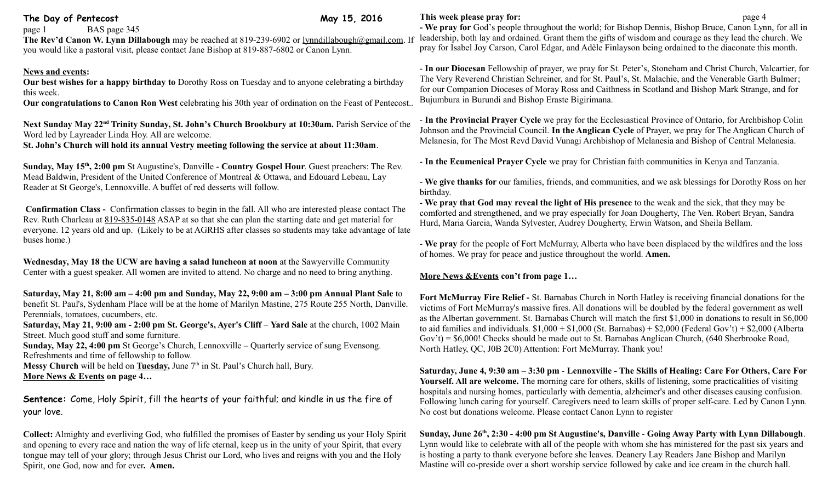# The Day of Pentecost May 15, 2016

page 1 BAS page 345

**The Rev'd Canon W. Lynn Dillabough** may be reached at 819-239-6902 or [lynndillabough@gmail.com.](mailto:lynndillabough@gmail.com) If you would like a pastoral visit, please contact Jane Bishop at 819-887-6802 or Canon Lynn.

#### **News and events:**

**Our best wishes for a happy birthday to** Dorothy Ross on Tuesday and to anyone celebrating a birthday this week.

**Our congratulations to Canon Ron West** celebrating his 30th year of ordination on the Feast of Pentecost..

**Next Sunday May 22nd Trinity Sunday, St. John's Church Brookbury at 10:30am.** Parish Service of the Word led by Layreader Linda Hoy. All are welcome. **St. John's Church will hold its annual Vestry meeting following the service at about 11:30am**.

**Sunday, May 15th, 2:00 pm** St Augustine's, Danville - **Country Gospel Hour**. Guest preachers: The Rev. Mead Baldwin, President of the United Conference of Montreal & Ottawa, and Edouard Lebeau, Lay Reader at St George's, Lennoxville. A buffet of red desserts will follow.

**Confirmation Class -** Confirmation classes to begin in the fall. All who are interested please contact The Rev. Ruth Charleau at [819-835-0148](tel:819-835-0148) ASAP at so that she can plan the starting date and get material for everyone. 12 years old and up. (Likely to be at AGRHS after classes so students may take advantage of late buses home.)

**Wednesday, May 18 the UCW are having a salad luncheon at noon** at the Sawyerville Community Center with a guest speaker. All women are invited to attend. No charge and no need to bring anything.

**Saturday, May 21, 8:00 am – 4:00 pm and Sunday, May 22, 9:00 am – 3:00 pm Annual Plant Sale** to benefit St. Paul's, Sydenham Place will be at the home of Marilyn Mastine, 275 Route 255 North, Danville. Perennials, tomatoes, cucumbers, etc.

**Saturday, May 21, 9:00 am - 2:00 pm St. George's, Ayer's Cliff** – **Yard Sale** at the church, 1002 Main Street. Much good stuff and some furniture.

**Sunday, May 22, 4:00 pm** St George's Church, Lennoxville – Quarterly service of sung Evensong. Refreshments and time of fellowship to follow.

**Messy Church** will be held on **Tuesday**, June 7<sup>th</sup> in St. Paul's Church hall, Bury. **More News & Events on page 4…**

**Sentence:** Come, Holy Spirit, fill the hearts of your faithful; and kindle in us the fire of your love.

**Collect:** Almighty and everliving God, who fulfilled the promises of Easter by sending us your Holy Spirit and opening to every race and nation the way of life eternal, keep us in the unity of your Spirit, that every tongue may tell of your glory; through Jesus Christ our Lord, who lives and reigns with you and the Holy Spirit, one God, now and for ever**. Amen.**

### **This week please pray for: page 4**

**- We pray for** God's people throughout the world; for Bishop Dennis, Bishop Bruce, Canon Lynn, for all in leadership, both lay and ordained. Grant them the gifts of wisdom and courage as they lead the church. We pray for Isabel Joy Carson, Carol Edgar, and Adèle Finlayson being ordained to the diaconate this month.

- **In our Diocesan** Fellowship of prayer, we pray for St. Peter's, Stoneham and Christ Church, Valcartier, for The Very Reverend Christian Schreiner, and for St. Paul's, St. Malachie, and the Venerable Garth Bulmer; for our Companion Dioceses of Moray Ross and Caithness in Scotland and Bishop Mark Strange, and for Bujumbura in Burundi and Bishop Eraste Bigirimana.

- **In the Provincial Prayer Cycle** we pray for the Ecclesiastical Province of Ontario, for Archbishop Colin Johnson and the Provincial Council. **In the Anglican Cycle** of Prayer, we pray for The Anglican Church of Melanesia, for The Most Revd David Vunagi Archbishop of Melanesia and Bishop of Central Melanesia.

- **In the Ecumenical Prayer Cycle** we pray for Christian faith communities in Kenya and Tanzania.

- **We give thanks for** our families, friends, and communities, and we ask blessings for Dorothy Ross on her birthday.

- **We pray that God may reveal the light of His presence** to the weak and the sick, that they may be comforted and strengthened, and we pray especially for Joan Dougherty, The Ven. Robert Bryan, Sandra Hurd, Maria Garcia, Wanda Sylvester, Audrey Dougherty, Erwin Watson, and Sheila Bellam.

- **We pray** for the people of Fort McMurray, Alberta who have been displaced by the wildfires and the loss of homes. We pray for peace and justice throughout the world. **Amen.**

### **More News &Events con't from page 1…**

**Fort McMurray Fire Relief -** St. Barnabas Church in North Hatley is receiving financial donations for the victims of Fort McMurray's massive fires. All donations will be doubled by the federal government as well as the Albertan government. St. Barnabas Church will match the first \$1,000 in donations to result in \$6,000 to aid families and individuals.  $$1,000 + $1,000$  (St. Barnabas) +  $$2,000$  (Federal Gov't) +  $$2,000$  (Alberta Gov't) = \$6,000! Checks should be made out to St. Barnabas Anglican Church, (640 Sherbrooke Road, North Hatley, QC, J0B 2C0) Attention: Fort McMurray. Thank you!

**Saturday, June 4, 9:30 am – 3:30 pm** - **Lennoxville - The Skills of Healing: Care For Others, Care For Yourself. All are welcome.** The morning care for others, skills of listening, some practicalities of visiting hospitals and nursing homes, particularly with dementia, alzheimer's and other diseases causing confusion. Following lunch caring for yourself. Caregivers need to learn skills of proper self-care. Led by Canon Lynn. No cost but donations welcome. Please contact Canon Lynn to register

**Sunday, June 26th, 2:30 - 4:00 pm St Augustine's, Danville** - **Going Away Party with Lynn Dillabough**. Lynn would like to celebrate with all of the people with whom she has ministered for the past six years and is hosting a party to thank everyone before she leaves. Deanery Lay Readers Jane Bishop and Marilyn Mastine will co-preside over a short worship service followed by cake and ice cream in the church hall.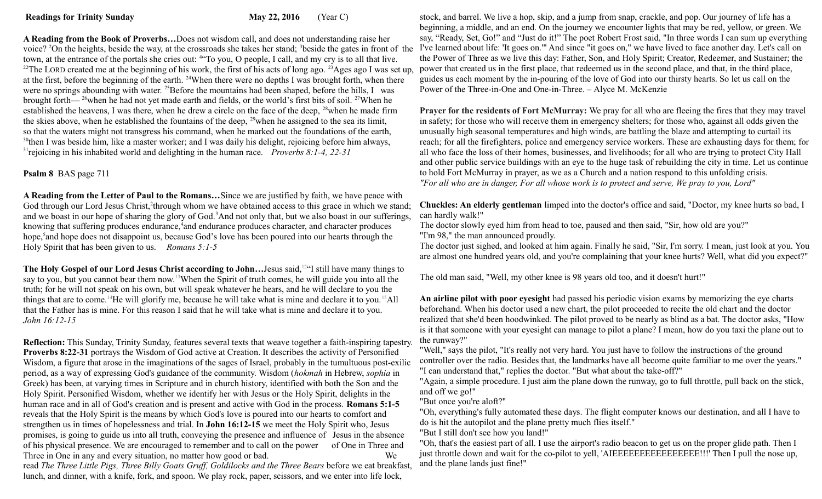**A Reading from the Book of Proverbs…**Does not wisdom call, and does not understanding raise her voice? <sup>2</sup>On the heights, beside the way, at the crossroads she takes her stand; <sup>3</sup>beside the gates in front of the town, at the entrance of the portals she cries out: <sup>4</sup> "To you, O people, I call, and my cry is to all that live. <sup>22</sup>The LORD created me at the beginning of his work, the first of his acts of long ago. <sup>23</sup>Ages ago I was set up, at the first, before the beginning of the earth. <sup>24</sup>When there were no depths I was brought forth, when there were no springs abounding with water. <sup>25</sup>Before the mountains had been shaped, before the hills, I was brought forth— $^{26}$ when he had not yet made earth and fields, or the world's first bits of soil. <sup>27</sup>When he established the heavens, I was there, when he drew a circle on the face of the deep,  $^{28}$ when he made firm the skies above, when he established the fountains of the deep, <sup>29</sup>when he assigned to the sea its limit, so that the waters might not transgress his command, when he marked out the foundations of the earth, <sup>30</sup>then I was beside him, like a master worker; and I was daily his delight, rejoicing before him always, <sup>31</sup>rejoicing in his inhabited world and delighting in the human race. *Proverbs 8:1-4, 22-31* 

# **Psalm 8** BAS page 711

**A Reading from the Letter of Paul to the Romans…**Since we are justified by faith, we have peace with God through our Lord Jesus Christ,<sup>2</sup>through whom we have obtained access to this grace in which we stand; and we boast in our hope of sharing the glory of God.<sup>3</sup>And not only that, but we also boast in our sufferings, knowing that suffering produces endurance,<sup>4</sup>and endurance produces character, and character produces hope,<sup>5</sup> and hope does not disappoint us, because God's love has been poured into our hearts through the Holy Spirit that has been given to us. *Romans 5:1-5*

**The Holy Gospel of our Lord Jesus Christ according to John…**Jesus said,<sup>12</sup>"I still have many things to say to you, but you cannot bear them now.<sup>13</sup>When the Spirit of truth comes, he will guide you into all the truth; for he will not speak on his own, but will speak whatever he hears, and he will declare to you the things that are to come.<sup>14</sup>He will glorify me, because he will take what is mine and declare it to you.<sup>15</sup>All that the Father has is mine. For this reason I said that he will take what is mine and declare it to you. *John 16:12-15*

**Reflection:** This Sunday, Trinity Sunday, features several texts that weave together a faith-inspiring tapestry. **[Proverbs 8:22-31](http://ebible.com/query?utf=8%E2%9C%93&query=Proverbs%208%3A22-31&translation=ESV&redirect_iframe=http://www.patheos.com/ebible)** portrays the Wisdom of God active at Creation. It describes the activity of Personified Wisdom, a figure that arose in the imaginations of the sages of Israel, probably in the tumultuous post-exilic period, as a way of expressing God's guidance of the community. Wisdom (*hokmah* in Hebrew, *sophia* in Greek) has been, at varying times in Scripture and in church history, identified with both the Son and the Holy Spirit. Personified Wisdom, whether we identify her with Jesus or the Holy Spirit, delights in the human race and in all of God's creation and is present and active with God in the process. **[Romans 5:1-5](http://ebible.com/query?utf=8%E2%9C%93&query=Romans%205%3A1-5&translation=ESV&redirect_iframe=http://www.patheos.com/ebible)** reveals that the Holy Spirit is the means by which God's love is poured into our hearts to comfort and strengthen us in times of hopelessness and trial. In **[John 16:12-15](http://ebible.com/query?utf=8%E2%9C%93&query=John%2016%3A12-15&translation=ESV&redirect_iframe=http://www.patheos.com/ebible)** we meet the Holy Spirit who, Jesus promises, is going to guide us into all truth, conveying the presence and influence of Jesus in the absence of his physical presence. We are encouraged to remember and to call on the power of One in Three and Three in One in any and every situation, no matter how good or bad. We

read *The Three Little Pigs, Three Billy Goats Gruff, Goldilocks and the Three Bears* before we eat breakfast, lunch, and dinner, with a knife, fork, and spoon. We play rock, paper, scissors, and we enter into life lock,

stock, and barrel. We live a hop, skip, and a jump from snap, crackle, and pop. Our journey of life has a beginning, a middle, and an end. On the journey we encounter lights that may be red, yellow, or green. We say, "Ready, Set, Go!" and "Just do it!" The poet Robert Frost said, "In three words I can sum up everything I've learned about life: 'It goes on.'" And since "it goes on," we have lived to face another day. Let's call on the Power of Three as we live this day: Father, Son, and Holy Spirit; Creator, Redeemer, and Sustainer; the power that created us in the first place, that redeemed us in the second place, and that, in the third place, guides us each moment by the in-pouring of the love of God into our thirsty hearts. So let us call on the Power of the Three-in-One and One-in-Three. – Alyce M. McKenzie

**Prayer for the residents of Fort McMurray:** We pray for all who are fleeing the fires that they may travel in safety; for those who will receive them in emergency shelters; for those who, against all odds given the unusually high seasonal temperatures and high winds, are battling the blaze and attempting to curtail its reach; for all the firefighters, police and emergency service workers. These are exhausting days for them; for all who face the loss of their homes, businesses, and livelihoods; for all who are trying to protect City Hall and other public service buildings with an eye to the huge task of rebuilding the city in time. Let us continue to hold Fort McMurray in prayer, as we as a Church and a nation respond to this unfolding crisis. *"For all who are in danger, For all whose work is to protect and serve, We pray to you, Lord"*

**Chuckles: An elderly gentleman** limped into the doctor's office and said, "Doctor, my knee hurts so bad, I can hardly walk!"

The doctor slowly eyed him from head to toe, paused and then said, "Sir, how old are you?" "I'm 98," the man announced proudly.

The doctor just sighed, and looked at him again. Finally he said, "Sir, I'm sorry. I mean, just look at you. You are almost one hundred years old, and you're complaining that your knee hurts? Well, what did you expect?"

The old man said, "Well, my other knee is 98 years old too, and it doesn't hurt!"

**An airline pilot with poor eyesight** had passed his periodic vision exams by memorizing the eye charts beforehand. When his doctor used a new chart, the pilot proceeded to recite the old chart and the doctor realized that she'd been hoodwinked. The pilot proved to be nearly as blind as a bat. The doctor asks, "How is it that someone with your eyesight can manage to pilot a plane? I mean, how do you taxi the plane out to the runway?"

"Well," says the pilot, "It's really not very hard. You just have to follow the instructions of the ground controller over the radio. Besides that, the landmarks have all become quite familiar to me over the years." "I can understand that," replies the doctor. "But what about the take-off?"

"Again, a simple procedure. I just aim the plane down the runway, go to full throttle, pull back on the stick, and off we go!"

"But once you're aloft?"

"Oh, everything's fully automated these days. The flight computer knows our destination, and all I have to do is hit the autopilot and the plane pretty much flies itself."

"But I still don't see how you land!"

"Oh, that's the easiest part of all. I use the airport's radio beacon to get us on the proper glide path. Then I just throttle down and wait for the co-pilot to yell, 'AIEEEEEEEEEEEEEEEE!!!' Then I pull the nose up, and the plane lands just fine!"